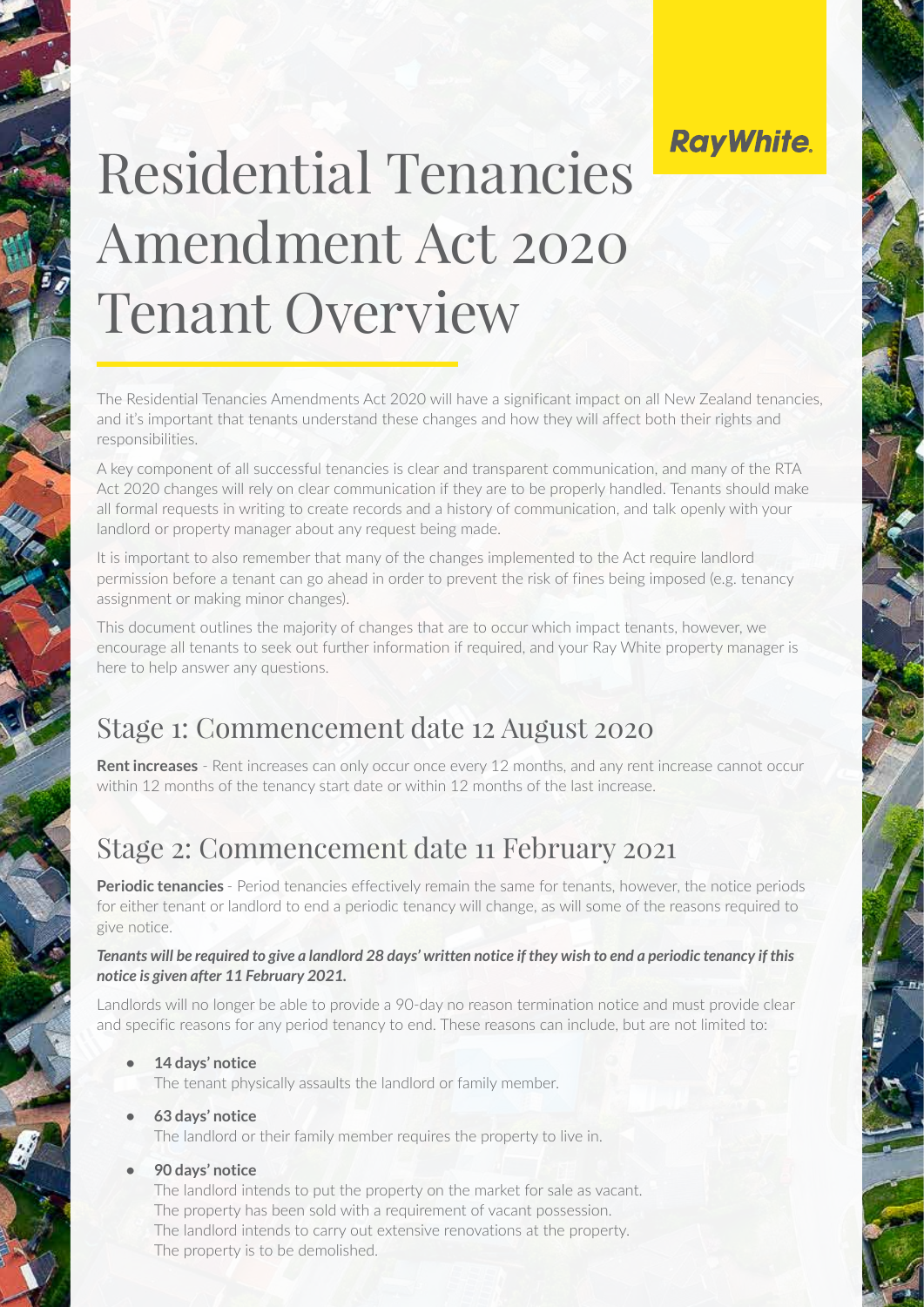## **RayWhite.**

# Residential Tenancies Amendment Act 2020 Tenant Overview

The Residential Tenancies Amendments Act 2020 will have a significant impact on all New Zealand tenancies, and it's important that tenants understand these changes and how they will affect both their rights and responsibilities.

A key component of all successful tenancies is clear and transparent communication, and many of the RTA Act 2020 changes will rely on clear communication if they are to be properly handled. Tenants should make all formal requests in writing to create records and a history of communication, and talk openly with your landlord or property manager about any request being made.

It is important to also remember that many of the changes implemented to the Act require landlord permission before a tenant can go ahead in order to prevent the risk of fines being imposed (e.g. tenancy assignment or making minor changes).

This document outlines the majority of changes that are to occur which impact tenants, however, we encourage all tenants to seek out further information if required, and your Ray White property manager is here to help answer any questions.

### Stage 1: Commencement date 12 August 2020

**Rent increases** - Rent increases can only occur once every 12 months, and any rent increase cannot occur within 12 months of the tenancy start date or within 12 months of the last increase.

### Stage 2: Commencement date 11 February 2021

**Periodic tenancies** - Period tenancies effectively remain the same for tenants, however, the notice periods for either tenant or landlord to end a periodic tenancy will change, as will some of the reasons required to give notice.

#### *Tenants will be required to give a landlord 28 days' written notice if they wish to end a periodic tenancy if this notice is given after 11 February 2021.*

Landlords will no longer be able to provide a 90-day no reason termination notice and must provide clear and specific reasons for any period tenancy to end. These reasons can include, but are not limited to:

- **• 14 days' notice** 
	- The tenant physically assaults the landlord or family member.
- **• 63 days' notice**  The landlord or their family member requires the property to live in.
- **• 90 days' notice**

The landlord intends to put the property on the market for sale as vacant. The property has been sold with a requirement of vacant possession. The landlord intends to carry out extensive renovations at the property. The property is to be demolished.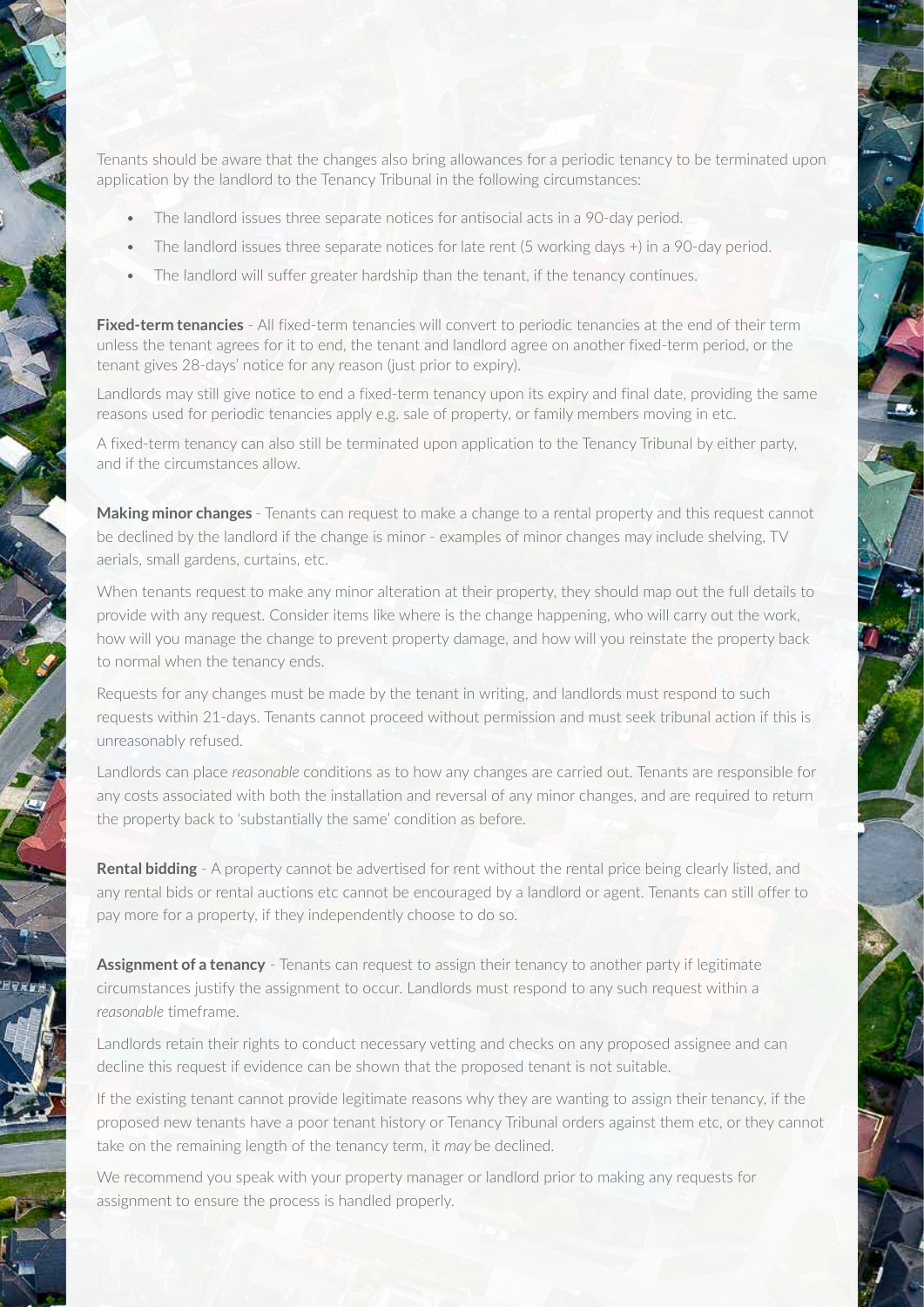Tenants should be aware that the changes also bring allowances for a periodic tenancy to be terminated upon application by the landlord to the Tenancy Tribunal in the following circumstances:

- The landlord issues three separate notices for antisocial acts in a 90-day period.
- The landlord issues three separate notices for late rent (5 working days +) in a 90-day period.
- The landlord will suffer greater hardship than the tenant, if the tenancy continues.

**Fixed-term tenancies** - All fixed-term tenancies will convert to periodic tenancies at the end of their term unless the tenant agrees for it to end, the tenant and landlord agree on another fixed-term period, or the tenant gives 28-days' notice for any reason (just prior to expiry).

Landlords may still give notice to end a fixed-term tenancy upon its expiry and final date, providing the same reasons used for periodic tenancies apply e.g. sale of property, or family members moving in etc.

A fixed-term tenancy can also still be terminated upon application to the Tenancy Tribunal by either party, and if the circumstances allow.

**Making minor changes** - Tenants can request to make a change to a rental property and this request cannot be declined by the landlord if the change is minor - examples of minor changes may include shelving, TV aerials, small gardens, curtains, etc.

When tenants request to make any minor alteration at their property, they should map out the full details to provide with any request. Consider items like where is the change happening, who will carry out the work, how will you manage the change to prevent property damage, and how will you reinstate the property back to normal when the tenancy ends.

Requests for any changes must be made by the tenant in writing, and landlords must respond to such requests within 21-days. Tenants cannot proceed without permission and must seek tribunal action if this is unreasonably refused.

Landlords can place *reasonable* conditions as to how any changes are carried out. Tenants are responsible for any costs associated with both the installation and reversal of any minor changes, and are required to return the property back to 'substantially the same' condition as before.

**Rental bidding** - A property cannot be advertised for rent without the rental price being clearly listed, and any rental bids or rental auctions etc cannot be encouraged by a landlord or agent. Tenants can still offer to pay more for a property, if they independently choose to do so.

**Assignment of a tenancy** - Tenants can request to assign their tenancy to another party if legitimate circumstances justify the assignment to occur. Landlords must respond to any such request within a *reasonable* timeframe.

Landlords retain their rights to conduct necessary vetting and checks on any proposed assignee and can decline this request if evidence can be shown that the proposed tenant is not suitable.

If the existing tenant cannot provide legitimate reasons why they are wanting to assign their tenancy, if the proposed new tenants have a poor tenant history or Tenancy Tribunal orders against them etc, or they cannot take on the remaining length of the tenancy term, it *may* be declined.

We recommend you speak with your property manager or landlord prior to making any requests for assignment to ensure the process is handled properly.